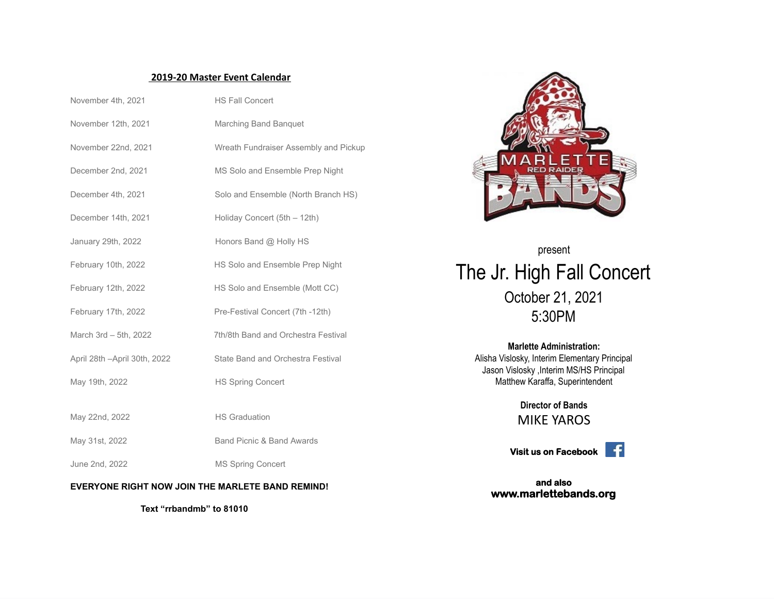## **2019-20 Master Event Calendar**

| November 4th, 2021            | <b>HS Fall Concert</b>                |  |
|-------------------------------|---------------------------------------|--|
| November 12th, 2021           | Marching Band Banguet                 |  |
| November 22nd, 2021           | Wreath Fundraiser Assembly and Pickup |  |
| December 2nd, 2021            | MS Solo and Ensemble Prep Night       |  |
| December 4th, 2021            | Solo and Ensemble (North Branch HS)   |  |
| December 14th, 2021           | Holiday Concert (5th - 12th)          |  |
| January 29th, 2022            | Honors Band @ Holly HS                |  |
| February 10th, 2022           | HS Solo and Ensemble Prep Night       |  |
| February 12th, 2022           | HS Solo and Ensemble (Mott CC)        |  |
| February 17th, 2022           | Pre-Festival Concert (7th -12th)      |  |
| March 3rd - 5th, 2022         | 7th/8th Band and Orchestra Festival   |  |
| April 28th - April 30th, 2022 | State Band and Orchestra Festival     |  |
| May 19th, 2022                | <b>HS Spring Concert</b>              |  |
|                               |                                       |  |
| May 22nd, 2022                | <b>HS Graduation</b>                  |  |
| May 31st, 2022                | Band Picnic & Band Awards             |  |
| June 2nd, 2022                | <b>MS Spring Concert</b>              |  |

## **EVERYONE RIGHT NOW JOIN THE MARLETE BAND REMIND!**

**Text "rrbandmb" to 81010**



present The Jr. High Fall Concert October 21, 2021 5:30PM

> **Marlette Administration:** Alisha Vislosky, Interim Elementary Principal Jason Vislosky ,Interim MS/HS Principal Matthew Karaffa, Superintendent

> > **Director of Bands** MIKE YAROS

**Visit us on Facebook**



**and also www.marlettebands.org**